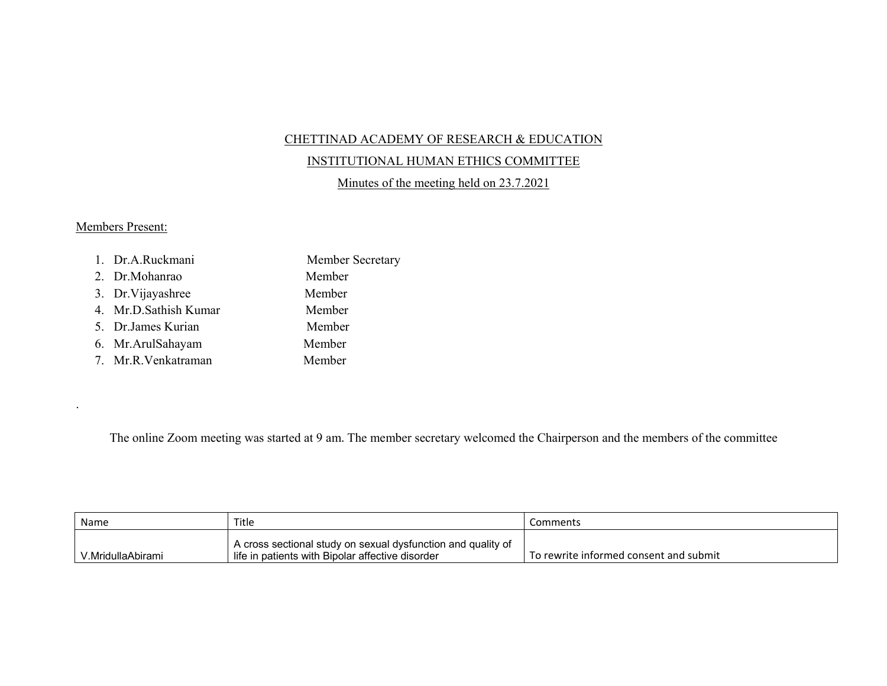## CHETTINAD ACADEMY OF RESEARCH & EDUCATION

## INSTITUTIONAL HUMAN ETHICS COMMITTEE

Minutes of the meeting held on 23.7.2021

## Members Present:

.

| 1. Dr.A.Ruckmani      | Member Secretary |
|-----------------------|------------------|
| 2. Dr.Mohanrao        | Member           |
| 3. Dr. Vijayashree    | Member           |
| 4. Mr.D.Sathish Kumar | Member           |
| 5. Dr.James Kurian    | Member           |
| 6. Mr. Arul Sahayam   | Member           |
| 7. Mr.R.Venkatraman   | Member           |

The online Zoom meeting was started at 9 am. The member secretary welcomed the Chairperson and the members of the committee

| Name              | Title                                                                                                              | Comments                               |
|-------------------|--------------------------------------------------------------------------------------------------------------------|----------------------------------------|
| V.MridullaAbirami | ' A cross sectional study on sexual dysfunction and quality of<br>life in patients with Bipolar affective disorder | To rewrite informed consent and submit |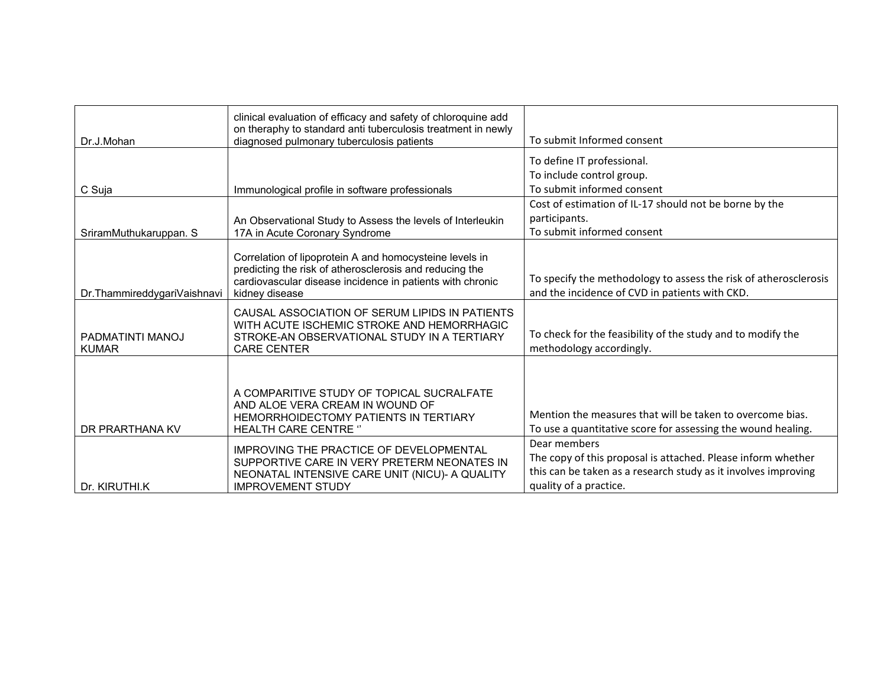| Dr.J.Mohan                       | clinical evaluation of efficacy and safety of chloroquine add<br>on theraphy to standard anti tuberculosis treatment in newly<br>diagnosed pulmonary tuberculosis patients                        | To submit Informed consent                                                                                                                                               |
|----------------------------------|---------------------------------------------------------------------------------------------------------------------------------------------------------------------------------------------------|--------------------------------------------------------------------------------------------------------------------------------------------------------------------------|
| C Suja                           | Immunological profile in software professionals                                                                                                                                                   | To define IT professional.<br>To include control group.<br>To submit informed consent                                                                                    |
| SriramMuthukaruppan. S           | An Observational Study to Assess the levels of Interleukin<br>17A in Acute Coronary Syndrome                                                                                                      | Cost of estimation of IL-17 should not be borne by the<br>participants.<br>To submit informed consent                                                                    |
| Dr.ThammireddygariVaishnavi      | Correlation of lipoprotein A and homocysteine levels in<br>predicting the risk of atherosclerosis and reducing the<br>cardiovascular disease incidence in patients with chronic<br>kidney disease | To specify the methodology to assess the risk of atherosclerosis<br>and the incidence of CVD in patients with CKD.                                                       |
| PADMATINTI MANOJ<br><b>KUMAR</b> | CAUSAL ASSOCIATION OF SERUM LIPIDS IN PATIENTS<br>WITH ACUTE ISCHEMIC STROKE AND HEMORRHAGIC<br>STROKE-AN OBSERVATIONAL STUDY IN A TERTIARY<br><b>CARE CENTER</b>                                 | To check for the feasibility of the study and to modify the<br>methodology accordingly.                                                                                  |
| DR PRARTHANA KV                  | A COMPARITIVE STUDY OF TOPICAL SUCRALFATE<br>AND ALOE VERA CREAM IN WOUND OF<br>HEMORRHOIDECTOMY PATIENTS IN TERTIARY<br><b>HEALTH CARE CENTRE "</b>                                              | Mention the measures that will be taken to overcome bias.<br>To use a quantitative score for assessing the wound healing.                                                |
| Dr. KIRUTHI.K                    | IMPROVING THE PRACTICE OF DEVELOPMENTAL<br>SUPPORTIVE CARE IN VERY PRETERM NEONATES IN<br>NEONATAL INTENSIVE CARE UNIT (NICU)- A QUALITY<br><b>IMPROVEMENT STUDY</b>                              | Dear members<br>The copy of this proposal is attached. Please inform whether<br>this can be taken as a research study as it involves improving<br>quality of a practice. |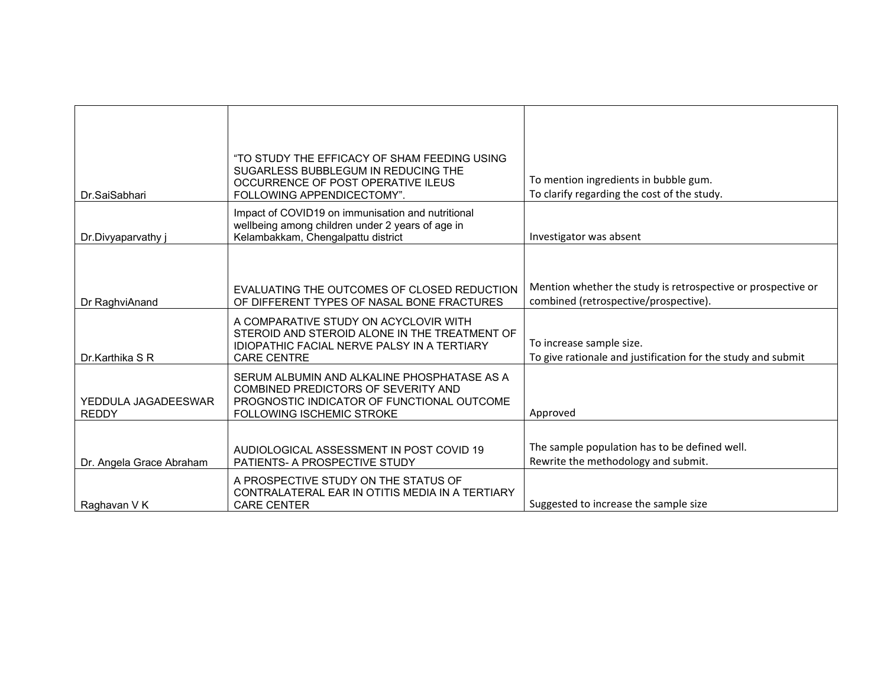| Dr.SaiSabhari                       | "TO STUDY THE EFFICACY OF SHAM FEEDING USING<br>SUGARLESS BUBBLEGUM IN REDUCING THE<br>OCCURRENCE OF POST OPERATIVE ILEUS<br>FOLLOWING APPENDICECTOMY".       | To mention ingredients in bubble gum.<br>To clarify regarding the cost of the study.                  |
|-------------------------------------|---------------------------------------------------------------------------------------------------------------------------------------------------------------|-------------------------------------------------------------------------------------------------------|
| Dr.Divyaparvathy                    | Impact of COVID19 on immunisation and nutritional<br>wellbeing among children under 2 years of age in<br>Kelambakkam, Chengalpattu district                   | Investigator was absent                                                                               |
| Dr RaghviAnand                      | EVALUATING THE OUTCOMES OF CLOSED REDUCTION<br>OF DIFFERENT TYPES OF NASAL BONE FRACTURES                                                                     | Mention whether the study is retrospective or prospective or<br>combined (retrospective/prospective). |
| Dr.Karthika S R                     | A COMPARATIVE STUDY ON ACYCLOVIR WITH<br>STEROID AND STEROID ALONE IN THE TREATMENT OF<br>IDIOPATHIC FACIAL NERVE PALSY IN A TERTIARY<br><b>CARE CENTRE</b>   | To increase sample size.<br>To give rationale and justification for the study and submit              |
| YEDDULA JAGADEESWAR<br><b>REDDY</b> | SERUM ALBUMIN AND ALKALINE PHOSPHATASE AS A<br>COMBINED PREDICTORS OF SEVERITY AND<br>PROGNOSTIC INDICATOR OF FUNCTIONAL OUTCOME<br>FOLLOWING ISCHEMIC STROKE | Approved                                                                                              |
| Dr. Angela Grace Abraham            | AUDIOLOGICAL ASSESSMENT IN POST COVID 19<br>PATIENTS- A PROSPECTIVE STUDY                                                                                     | The sample population has to be defined well.<br>Rewrite the methodology and submit.                  |
| Raghavan V K                        | A PROSPECTIVE STUDY ON THE STATUS OF<br>CONTRALATERAL EAR IN OTITIS MEDIA IN A TERTIARY<br><b>CARE CENTER</b>                                                 | Suggested to increase the sample size                                                                 |